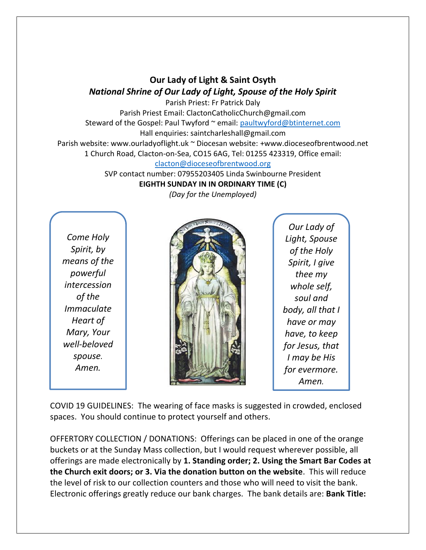## **Our Lady of Light & Saint Osyth** *National Shrine of Our Lady of Light, Spouse of the Holy Spirit*

Parish Priest: Fr Patrick Daly Parish Priest Email: ClactonCatholicChurch@gmail.com Steward of the Gospel: Paul Twyford ~ email: [paultwyford@btinternet.com](mailto:paultwyford@btinternet.com) Hall enquiries: saintcharleshall@gmail.com Parish website: www.ourladyoflight.uk ~ Diocesan website: +www.dioceseofbrentwood.net

1 Church Road, Clacton-on-Sea, CO15 6AG, Tel: 01255 423319, Office email:

[clacton@dioceseofbrentwood.org](mailto:clacton@dioceseofbrentwood.org)

SVP contact number: 07955203405 Linda Swinbourne President **EIGHTH SUNDAY IN IN ORDINARY TIME (C)**

*(Day for the Unemployed)*

*Come Holy Spirit, by means of the powerful intercession of the Immaculate Heart of Mary, Your well-beloved spouse. Amen.*



*Our Lady of Light, Spouse of the Holy Spirit, I give thee my whole self, soul and body, all that I have or may have, to keep for Jesus, that I may be His for evermore. Amen.*

COVID 19 GUIDELINES: The wearing of face masks is suggested in crowded, enclosed spaces. You should continue to protect yourself and others.

OFFERTORY COLLECTION / DONATIONS: Offerings can be placed in one of the orange buckets or at the Sunday Mass collection, but I would request wherever possible, all offerings are made electronically by **1. Standing order; 2. Using the Smart Bar Codes at the Church exit doors; or 3. Via the donation button on the website**. This will reduce the level of risk to our collection counters and those who will need to visit the bank. Electronic offerings greatly reduce our bank charges. The bank details are: **Bank Title:**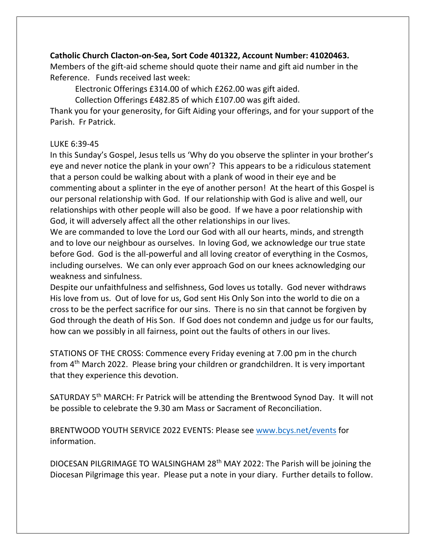## **Catholic Church Clacton-on-Sea, Sort Code 401322, Account Number: 41020463.**

Members of the gift-aid scheme should quote their name and gift aid number in the Reference. Funds received last week:

Electronic Offerings £314.00 of which £262.00 was gift aided.

Collection Offerings £482.85 of which £107.00 was gift aided.

Thank you for your generosity, for Gift Aiding your offerings, and for your support of the Parish. Fr Patrick.

## LUKE 6:39-45

In this Sunday's Gospel, Jesus tells us 'Why do you observe the splinter in your brother's eye and never notice the plank in your own'? This appears to be a ridiculous statement that a person could be walking about with a plank of wood in their eye and be commenting about a splinter in the eye of another person! At the heart of this Gospel is our personal relationship with God. If our relationship with God is alive and well, our relationships with other people will also be good. If we have a poor relationship with God, it will adversely affect all the other relationships in our lives.

We are commanded to love the Lord our God with all our hearts, minds, and strength and to love our neighbour as ourselves. In loving God, we acknowledge our true state before God. God is the all-powerful and all loving creator of everything in the Cosmos, including ourselves. We can only ever approach God on our knees acknowledging our weakness and sinfulness.

Despite our unfaithfulness and selfishness, God loves us totally. God never withdraws His love from us. Out of love for us, God sent His Only Son into the world to die on a cross to be the perfect sacrifice for our sins. There is no sin that cannot be forgiven by God through the death of His Son. If God does not condemn and judge us for our faults, how can we possibly in all fairness, point out the faults of others in our lives.

STATIONS OF THE CROSS: Commence every Friday evening at 7.00 pm in the church from 4th March 2022. Please bring your children or grandchildren. It is very important that they experience this devotion.

SATURDAY 5th MARCH: Fr Patrick will be attending the Brentwood Synod Day. It will not be possible to celebrate the 9.30 am Mass or Sacrament of Reconciliation.

BRENTWOOD YOUTH SERVICE 2022 EVENTS: Please see [www.bcys.net/events](http://www.bcys.net/events) for information.

DIOCESAN PILGRIMAGE TO WALSINGHAM 28th MAY 2022: The Parish will be joining the Diocesan Pilgrimage this year. Please put a note in your diary. Further details to follow.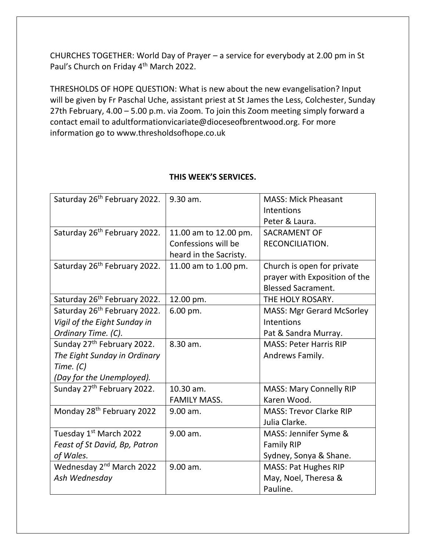CHURCHES TOGETHER: World Day of Prayer – a service for everybody at 2.00 pm in St Paul's Church on Friday 4<sup>th</sup> March 2022.

THRESHOLDS OF HOPE QUESTION: What is new about the new evangelisation? Input will be given by Fr Paschal Uche, assistant priest at St James the Less, Colchester, Sunday 27th February, 4.00 – 5.00 p.m. via Zoom. To join this Zoom meeting simply forward a contact email to adultformationvicariate@dioceseofbrentwood.org. For more information go to www.thresholdsofhope.co.uk

| Saturday 26 <sup>th</sup> February 2022. | 9.30 am.               | <b>MASS: Mick Pheasant</b>       |
|------------------------------------------|------------------------|----------------------------------|
|                                          |                        | Intentions                       |
|                                          |                        | Peter & Laura.                   |
| Saturday 26 <sup>th</sup> February 2022. | 11.00 am to 12.00 pm.  | <b>SACRAMENT OF</b>              |
|                                          | Confessions will be    | RECONCILIATION.                  |
|                                          | heard in the Sacristy. |                                  |
| Saturday 26 <sup>th</sup> February 2022. | 11.00 am to 1.00 pm.   | Church is open for private       |
|                                          |                        | prayer with Exposition of the    |
|                                          |                        | <b>Blessed Sacrament.</b>        |
| Saturday 26 <sup>th</sup> February 2022. | 12.00 pm.              | THE HOLY ROSARY.                 |
| Saturday 26 <sup>th</sup> February 2022. | 6.00 pm.               | <b>MASS: Mgr Gerard McSorley</b> |
| Vigil of the Eight Sunday in             |                        | Intentions                       |
| Ordinary Time. (C).                      |                        | Pat & Sandra Murray.             |
| Sunday 27 <sup>th</sup> February 2022.   | 8.30 am.               | <b>MASS: Peter Harris RIP</b>    |
| The Eight Sunday in Ordinary             |                        | Andrews Family.                  |
| Time. $(C)$                              |                        |                                  |
| (Day for the Unemployed).                |                        |                                  |
| Sunday 27 <sup>th</sup> February 2022.   | 10.30 am.              | <b>MASS: Mary Connelly RIP</b>   |
|                                          | <b>FAMILY MASS.</b>    | Karen Wood.                      |
| Monday 28 <sup>th</sup> February 2022    | $9.00$ am.             | <b>MASS: Trevor Clarke RIP</b>   |
|                                          |                        | Julia Clarke.                    |
| Tuesday 1 <sup>st</sup> March 2022       | 9.00 am.               | MASS: Jennifer Syme &            |
| Feast of St David, Bp, Patron            |                        | <b>Family RIP</b>                |
| of Wales.                                |                        | Sydney, Sonya & Shane.           |
| Wednesday 2 <sup>nd</sup> March 2022     | 9.00 am.               | <b>MASS: Pat Hughes RIP</b>      |
| Ash Wednesday                            |                        | May, Noel, Theresa &             |
|                                          |                        | Pauline.                         |

## **THIS WEEK'S SERVICES.**